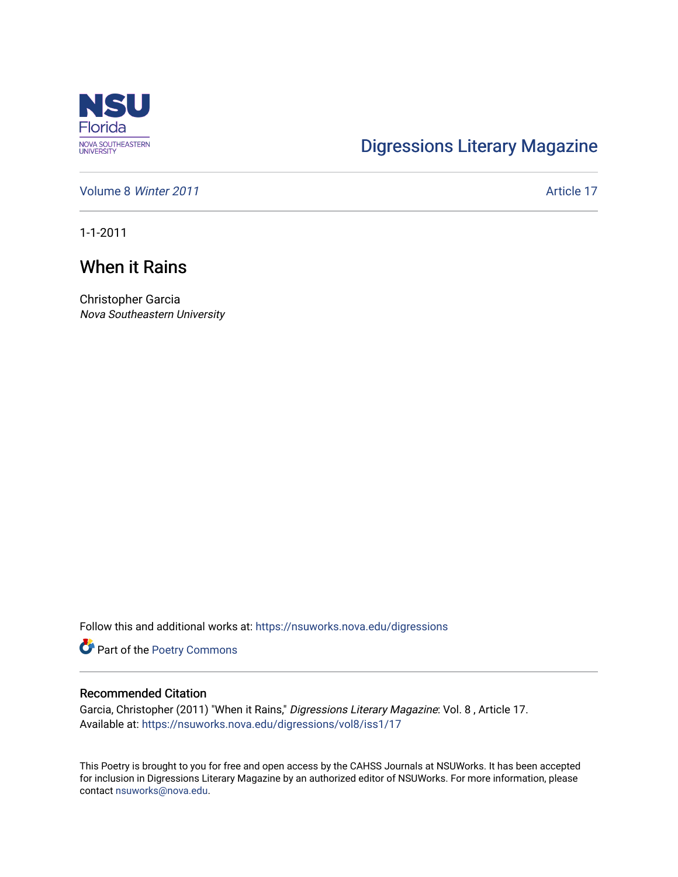

## [Digressions Literary Magazine](https://nsuworks.nova.edu/digressions)

[Volume 8](https://nsuworks.nova.edu/digressions/vol8) Winter 2011 **Article 17** Article 17

1-1-2011

## When it Rains

Christopher Garcia Nova Southeastern University

Follow this and additional works at: [https://nsuworks.nova.edu/digressions](https://nsuworks.nova.edu/digressions?utm_source=nsuworks.nova.edu%2Fdigressions%2Fvol8%2Fiss1%2F17&utm_medium=PDF&utm_campaign=PDFCoverPages) 

Part of the [Poetry Commons](http://network.bepress.com/hgg/discipline/1153?utm_source=nsuworks.nova.edu%2Fdigressions%2Fvol8%2Fiss1%2F17&utm_medium=PDF&utm_campaign=PDFCoverPages) 

## Recommended Citation

Garcia, Christopher (2011) "When it Rains," Digressions Literary Magazine: Vol. 8 , Article 17. Available at: [https://nsuworks.nova.edu/digressions/vol8/iss1/17](https://nsuworks.nova.edu/digressions/vol8/iss1/17?utm_source=nsuworks.nova.edu%2Fdigressions%2Fvol8%2Fiss1%2F17&utm_medium=PDF&utm_campaign=PDFCoverPages) 

This Poetry is brought to you for free and open access by the CAHSS Journals at NSUWorks. It has been accepted for inclusion in Digressions Literary Magazine by an authorized editor of NSUWorks. For more information, please contact [nsuworks@nova.edu.](mailto:nsuworks@nova.edu)